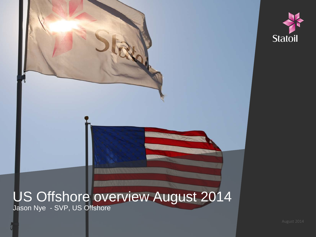

### US Offshore overview August 2014 Jason Nye - SVP, US Offshore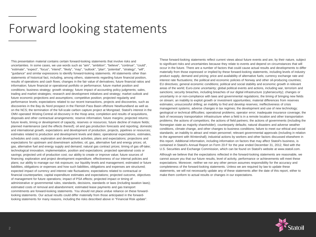## Forward looking statements

This presentation material contains certain forward-looking statements that involve risks and uncertainties. In some cases, we use words such as "aim", "ambition", "believe", "continue", "could", "estimate", "expect", "focus", "intend", "likely", "may", "outlook", "plan", "potential", "strategy", "will", "guidance" and similar expressions to identify forward-looking statements. All statements other than statements of historical fact, including, among others, statements regarding future financial position, results of operations and cash flows; changes in the fair value of derivatives; future financial ratios and information; future financial or operational portfolio or performance; future market position and conditions; business strategy; growth strategy; future impact of accounting policy judgments; sales, trading and market strategies; research and development initiatives and strategy; market outlook and future economic projections and assumptions; competitive position; projected regularity and performance levels; expectations related to our recent transactions, projects and discoveries, such as discoveries in the Bay du Nord prospect in the Flemish Pass Basin offshore Newfoundland as well as on the NCS; the termination of the full-scale carbon capture project at Mongstad; Statoil's interest in the OMV-operated Wisting Central oil discovery in the Hoop area; completion and results of acquisitions, disposals and other contractual arrangements; reserve information; future margins; projected returns; future levels, timing or development of capacity, reserves or resources; future decline of mature fields; planned maintenance (and the effects thereof); oil and gas production forecasts and reporting; domestic and international growth, expectations and development of production, projects, pipelines or resources; estimates related to production and development levels and dates; operational expectations, estimates, schedules and costs; exploration and development activities, plans and expectations; projections and expectations for upstream and downstream activities; oil, gas, alternative fuel and energy prices; oil, gas, alternative fuel and energy supply and demand; natural gas contract prices; timing of gas off-take; technological innovation, implementation, position and expectations; projected operational costs or savings; projected unit of production cost; our ability to create or improve value; future sources of financing; exploration and project development expenditure; effectiveness of our internal policies and plans; our ability to manage our risk exposure; our liquidity levels and management; estimated or future liabilities, obligations or expenses and how such liabilities, obligations and expenses are structured; expected impact of currency and interest rate fluctuations; expectations related to contractual or financial counterparties; capital expenditure estimates and expectations; projected outcome, objectives of management for future operations; impact of PSA effects; projected impact or timing of administrative or governmental rules, standards, decisions, standards or laws (including taxation laws); estimated costs of removal and abandonment; estimated lease payments and gas transport commitments are forward-looking statements. You should not place undue reliance on these forwardlooking statements. Our actual results could differ materially from those anticipated in the forwardlooking statements for many reasons, including the risks described above in "Financial Risk update".

These forward-looking statements reflect current views about future events and are, by their nature, subject to significant risks and uncertainties because they relate to events and depend on circumstances that will occur in the future. There are a number of factors that could cause actual results and developments to differ materially from those expressed or implied by these forward-looking statements, including levels of industry product supply, demand and pricing; price and availability of alternative fuels; currency exchange rate and interest rate fluctuations; the political and economic policies of Norway and other oil-producing countries; EU directives; general economic conditions; political and social stability and economic growth in relevant areas of the world; Euro-zone uncertainty; global political events and actions, including war, terrorism and sanctions; security breaches, including breaches of our digital infrastructure (cybersecurity); changes or uncertainty in or non-compliance with laws and governmental regulations; the timing of bringing new fields on stream; an inability to exploit growth or investment opportunities; material differences from reserves estimates; unsuccessful drilling; an inability to find and develop reserves; ineffectiveness of crisis management systems; adverse changes in tax regimes; the development and use of new technology; geological or technical difficulties; operational problems; operator error; inadequate insurance coverage; the lack of necessary transportation infrastructure when a field is in a remote location and other transportation problems; the actions of competitors; the actions of field partners; the actions of governments (including the Norwegian state as majority shareholder); counterparty defaults; natural disasters and adverse weather conditions, climate change, and other changes to business conditions; failure to meet our ethical and social standards; an inability to attract and retain personnel; relevant governmental approvals (including in relation to the agreement with Wintershall); industrial actions by workers and other factors discussed elsewhere in this report. Additional information, including information on factors that may affect Statoil's business, is contained in Statoil's Annual Report on Form 20-F for the year ended December 31, 2012, filed with the U.S. Securities and Exchange Commission, which can be found on Statoil's website at www.statoil.com.

Although we believe that the expectations reflected in the forward-looking statements are reasonable, we cannot assure you that our future results, level of activity, performance or achievements will meet these expectations. Moreover, neither we nor any other person assumes responsibility for the accuracy and completeness of the forward-looking statements. Unless we are required by law to update these statements, we will not necessarily update any of these statements after the date of this report, either to make them conform to actual results or changes in our expectations.

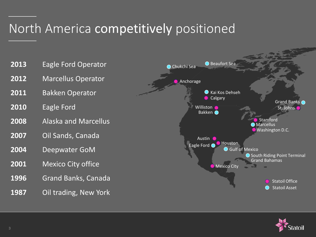## North America competitively positioned



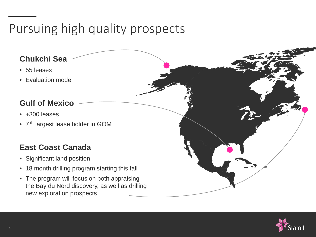## Pursuing high quality prospects

#### **Chukchi Sea**

- 55 leases
- Evaluation mode

#### **Gulf of Mexico**

- +300 leases
- 7<sup>th</sup> largest lease holder in GOM

#### **East Coast Canada**

- Significant land position
- 18 month drilling program starting this fall
- The program will focus on both appraising the Bay du Nord discovery, as well as drilling new exploration prospects

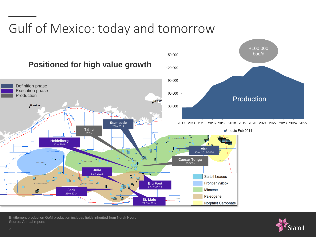# Gulf of Mexico: today and tomorrow



Entitlement production GoM production includes fields inherited from Norsk Hydro Source: Annual reports